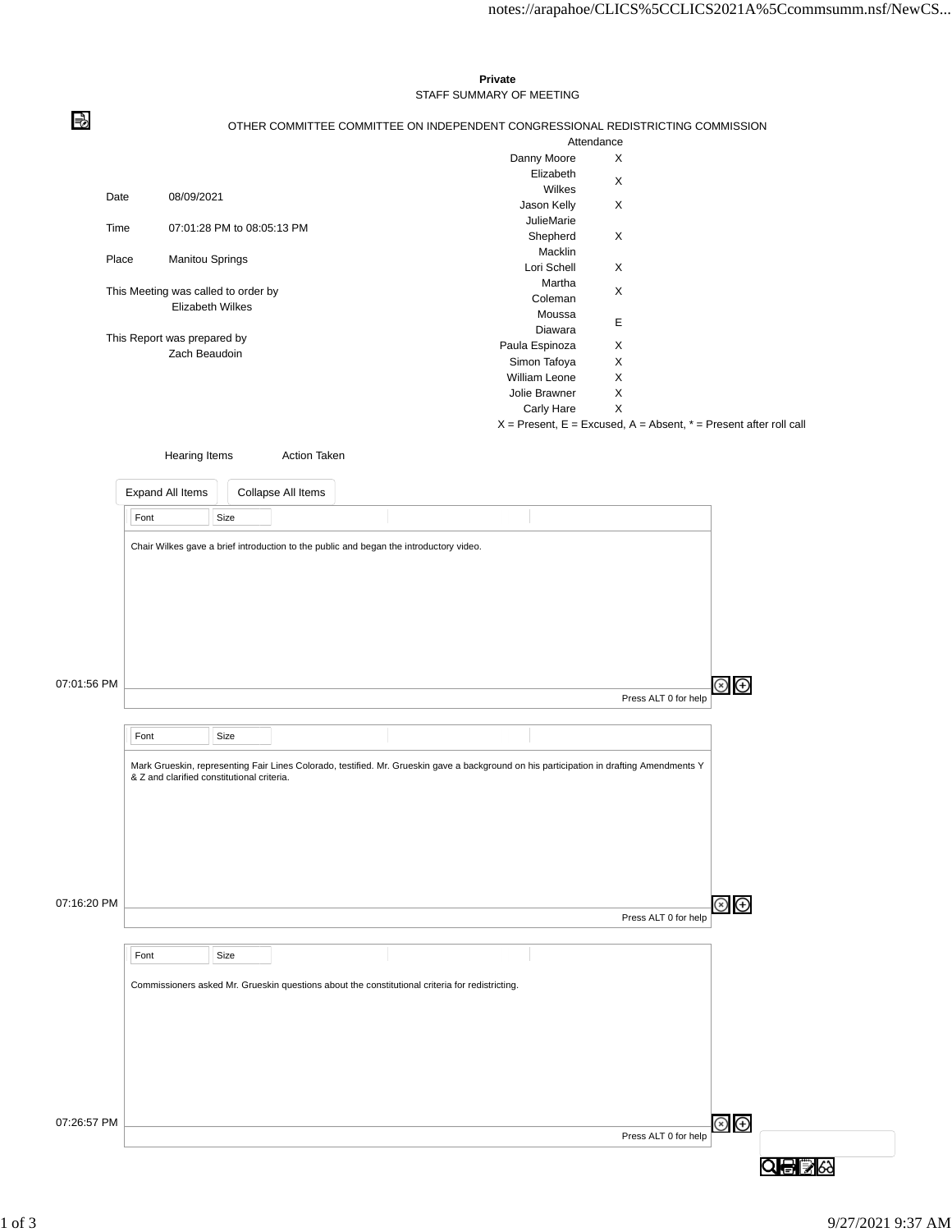|             |                                            |                            |                     |                                                                                                 | Private                                                                                                                                  |                      |                                                                       |
|-------------|--------------------------------------------|----------------------------|---------------------|-------------------------------------------------------------------------------------------------|------------------------------------------------------------------------------------------------------------------------------------------|----------------------|-----------------------------------------------------------------------|
|             |                                            |                            |                     |                                                                                                 | STAFF SUMMARY OF MEETING                                                                                                                 |                      |                                                                       |
|             |                                            |                            |                     |                                                                                                 | OTHER COMMITTEE COMMITTEE ON INDEPENDENT CONGRESSIONAL REDISTRICTING COMMISSION                                                          |                      |                                                                       |
|             |                                            |                            |                     |                                                                                                 |                                                                                                                                          | Attendance           |                                                                       |
|             |                                            |                            |                     |                                                                                                 | Danny Moore                                                                                                                              | X                    |                                                                       |
|             |                                            |                            |                     |                                                                                                 | Elizabeth                                                                                                                                |                      |                                                                       |
|             |                                            |                            |                     |                                                                                                 | Wilkes                                                                                                                                   | X                    |                                                                       |
|             | Date<br>08/09/2021                         |                            |                     |                                                                                                 | Jason Kelly                                                                                                                              | X                    |                                                                       |
|             |                                            |                            |                     |                                                                                                 | JulieMarie                                                                                                                               |                      |                                                                       |
|             | Time                                       | 07:01:28 PM to 08:05:13 PM |                     |                                                                                                 | Shepherd                                                                                                                                 | X                    |                                                                       |
|             |                                            |                            |                     |                                                                                                 | Macklin                                                                                                                                  |                      |                                                                       |
|             | Place                                      | Manitou Springs            |                     |                                                                                                 | Lori Schell                                                                                                                              | X                    |                                                                       |
|             |                                            |                            |                     |                                                                                                 | Martha                                                                                                                                   |                      |                                                                       |
|             | This Meeting was called to order by        |                            |                     |                                                                                                 | Coleman                                                                                                                                  | X                    |                                                                       |
|             |                                            | Elizabeth Wilkes           |                     |                                                                                                 | Moussa                                                                                                                                   |                      |                                                                       |
|             |                                            |                            |                     |                                                                                                 | Diawara                                                                                                                                  | Е                    |                                                                       |
|             | This Report was prepared by                |                            |                     |                                                                                                 | Paula Espinoza                                                                                                                           | X                    |                                                                       |
|             |                                            | Zach Beaudoin              |                     |                                                                                                 |                                                                                                                                          |                      |                                                                       |
|             |                                            |                            |                     |                                                                                                 | Simon Tafoya                                                                                                                             | X<br>$\mathsf X$     |                                                                       |
|             |                                            |                            |                     |                                                                                                 | William Leone                                                                                                                            |                      |                                                                       |
|             |                                            |                            |                     |                                                                                                 | Jolie Brawner                                                                                                                            | $\mathsf X$          |                                                                       |
|             |                                            |                            |                     |                                                                                                 | Carly Hare                                                                                                                               | X                    |                                                                       |
|             |                                            |                            |                     |                                                                                                 |                                                                                                                                          |                      | $X =$ Present, E = Excused, A = Absent, $* =$ Present after roll call |
|             | Hearing Items                              |                            | <b>Action Taken</b> |                                                                                                 |                                                                                                                                          |                      |                                                                       |
|             |                                            |                            |                     |                                                                                                 |                                                                                                                                          |                      |                                                                       |
|             |                                            |                            |                     |                                                                                                 |                                                                                                                                          |                      |                                                                       |
|             | Expand All Items                           |                            | Collapse All Items  |                                                                                                 |                                                                                                                                          |                      |                                                                       |
|             | Font                                       | Size                       |                     |                                                                                                 |                                                                                                                                          |                      |                                                                       |
|             |                                            |                            |                     |                                                                                                 |                                                                                                                                          |                      |                                                                       |
|             |                                            |                            |                     | Chair Wilkes gave a brief introduction to the public and began the introductory video.          |                                                                                                                                          |                      |                                                                       |
|             |                                            |                            |                     |                                                                                                 |                                                                                                                                          |                      |                                                                       |
|             |                                            |                            |                     |                                                                                                 |                                                                                                                                          |                      |                                                                       |
|             |                                            |                            |                     |                                                                                                 |                                                                                                                                          |                      |                                                                       |
|             |                                            |                            |                     |                                                                                                 |                                                                                                                                          |                      |                                                                       |
|             |                                            |                            |                     |                                                                                                 |                                                                                                                                          |                      |                                                                       |
|             |                                            |                            |                     |                                                                                                 |                                                                                                                                          |                      |                                                                       |
|             |                                            |                            |                     |                                                                                                 |                                                                                                                                          |                      |                                                                       |
|             |                                            |                            |                     |                                                                                                 |                                                                                                                                          |                      |                                                                       |
|             |                                            |                            |                     |                                                                                                 |                                                                                                                                          |                      |                                                                       |
|             |                                            |                            |                     |                                                                                                 |                                                                                                                                          |                      |                                                                       |
| 07:01:56 PM |                                            |                            |                     |                                                                                                 |                                                                                                                                          |                      | ⊗ ⊕                                                                   |
|             |                                            |                            |                     |                                                                                                 |                                                                                                                                          | Press ALT 0 for help |                                                                       |
|             |                                            |                            |                     |                                                                                                 |                                                                                                                                          |                      |                                                                       |
|             |                                            |                            |                     |                                                                                                 |                                                                                                                                          |                      |                                                                       |
|             | Font                                       | Size                       |                     |                                                                                                 |                                                                                                                                          |                      |                                                                       |
|             |                                            |                            |                     |                                                                                                 |                                                                                                                                          |                      |                                                                       |
|             |                                            |                            |                     |                                                                                                 | Mark Grueskin, representing Fair Lines Colorado, testified. Mr. Grueskin gave a background on his participation in drafting Amendments Y |                      |                                                                       |
|             | & Z and clarified constitutional criteria. |                            |                     |                                                                                                 |                                                                                                                                          |                      |                                                                       |
|             |                                            |                            |                     |                                                                                                 |                                                                                                                                          |                      |                                                                       |
|             |                                            |                            |                     |                                                                                                 |                                                                                                                                          |                      |                                                                       |
|             |                                            |                            |                     |                                                                                                 |                                                                                                                                          |                      |                                                                       |
|             |                                            |                            |                     |                                                                                                 |                                                                                                                                          |                      |                                                                       |
|             |                                            |                            |                     |                                                                                                 |                                                                                                                                          |                      |                                                                       |
|             |                                            |                            |                     |                                                                                                 |                                                                                                                                          |                      |                                                                       |
|             |                                            |                            |                     |                                                                                                 |                                                                                                                                          |                      |                                                                       |
| 07:16:20 PM |                                            |                            |                     |                                                                                                 |                                                                                                                                          |                      | ව<br>ල                                                                |
|             |                                            |                            |                     |                                                                                                 |                                                                                                                                          | Press ALT 0 for help |                                                                       |
|             |                                            |                            |                     |                                                                                                 |                                                                                                                                          |                      |                                                                       |
|             |                                            |                            |                     |                                                                                                 |                                                                                                                                          |                      |                                                                       |
|             | Font                                       | Size                       |                     |                                                                                                 |                                                                                                                                          |                      |                                                                       |
|             |                                            |                            |                     |                                                                                                 |                                                                                                                                          |                      |                                                                       |
|             |                                            |                            |                     | Commissioners asked Mr. Grueskin questions about the constitutional criteria for redistricting. |                                                                                                                                          |                      |                                                                       |
|             |                                            |                            |                     |                                                                                                 |                                                                                                                                          |                      |                                                                       |
|             |                                            |                            |                     |                                                                                                 |                                                                                                                                          |                      |                                                                       |
|             |                                            |                            |                     |                                                                                                 |                                                                                                                                          |                      |                                                                       |
|             |                                            |                            |                     |                                                                                                 |                                                                                                                                          |                      |                                                                       |
|             |                                            |                            |                     |                                                                                                 |                                                                                                                                          |                      |                                                                       |
|             |                                            |                            |                     |                                                                                                 |                                                                                                                                          |                      |                                                                       |
|             |                                            |                            |                     |                                                                                                 |                                                                                                                                          |                      |                                                                       |
|             |                                            |                            |                     |                                                                                                 |                                                                                                                                          |                      |                                                                       |
|             |                                            |                            |                     |                                                                                                 |                                                                                                                                          |                      |                                                                       |
| 07:26:57 PM |                                            |                            |                     |                                                                                                 |                                                                                                                                          | Press ALT 0 for help | $\circledcirc$                                                        |
|             |                                            |                            |                     |                                                                                                 |                                                                                                                                          |                      | QOB<br>&                                                              |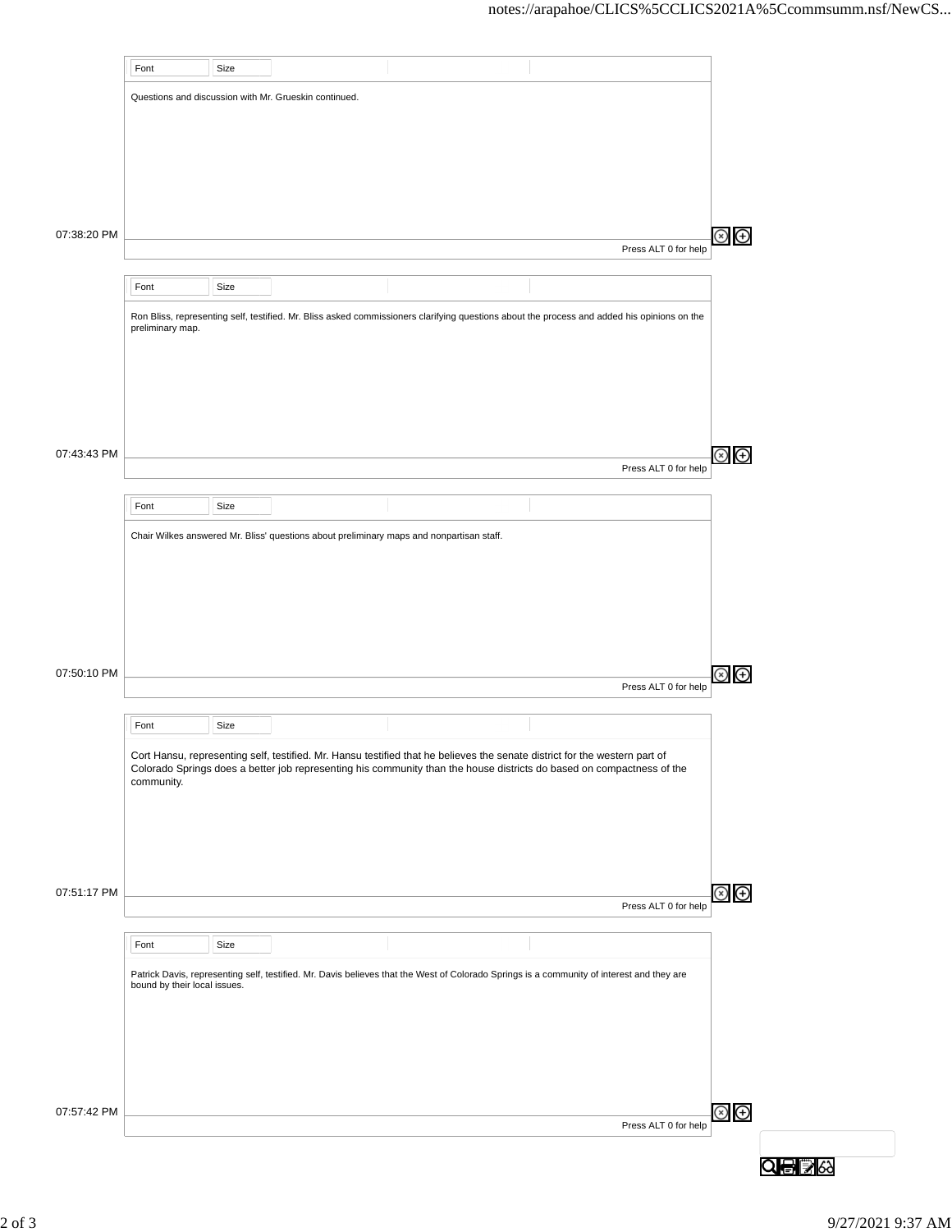|             | Font                         | Size |                                                       |                                                                                                                                                                                                                                                     |                      |               |
|-------------|------------------------------|------|-------------------------------------------------------|-----------------------------------------------------------------------------------------------------------------------------------------------------------------------------------------------------------------------------------------------------|----------------------|---------------|
|             |                              |      | Questions and discussion with Mr. Grueskin continued. |                                                                                                                                                                                                                                                     |                      |               |
|             |                              |      |                                                       |                                                                                                                                                                                                                                                     |                      |               |
|             |                              |      |                                                       |                                                                                                                                                                                                                                                     |                      |               |
|             |                              |      |                                                       |                                                                                                                                                                                                                                                     |                      |               |
|             |                              |      |                                                       |                                                                                                                                                                                                                                                     |                      |               |
|             |                              |      |                                                       |                                                                                                                                                                                                                                                     |                      |               |
| 07:38:20 PM |                              |      |                                                       |                                                                                                                                                                                                                                                     |                      | $\circledast$ |
|             |                              |      |                                                       |                                                                                                                                                                                                                                                     | Press ALT 0 for help |               |
|             | Font                         | Size |                                                       |                                                                                                                                                                                                                                                     |                      |               |
|             |                              |      |                                                       |                                                                                                                                                                                                                                                     |                      |               |
|             | preliminary map.             |      |                                                       | Ron Bliss, representing self, testified. Mr. Bliss asked commissioners clarifying questions about the process and added his opinions on the                                                                                                         |                      |               |
|             |                              |      |                                                       |                                                                                                                                                                                                                                                     |                      |               |
|             |                              |      |                                                       |                                                                                                                                                                                                                                                     |                      |               |
|             |                              |      |                                                       |                                                                                                                                                                                                                                                     |                      |               |
|             |                              |      |                                                       |                                                                                                                                                                                                                                                     |                      |               |
|             |                              |      |                                                       |                                                                                                                                                                                                                                                     |                      |               |
| 07:43:43 PM |                              |      |                                                       |                                                                                                                                                                                                                                                     | Press ALT 0 for help | $\circledast$ |
|             |                              |      |                                                       |                                                                                                                                                                                                                                                     |                      |               |
|             | Font                         | Size |                                                       |                                                                                                                                                                                                                                                     |                      |               |
|             |                              |      |                                                       | Chair Wilkes answered Mr. Bliss' questions about preliminary maps and nonpartisan staff.                                                                                                                                                            |                      |               |
|             |                              |      |                                                       |                                                                                                                                                                                                                                                     |                      |               |
|             |                              |      |                                                       |                                                                                                                                                                                                                                                     |                      |               |
|             |                              |      |                                                       |                                                                                                                                                                                                                                                     |                      |               |
|             |                              |      |                                                       |                                                                                                                                                                                                                                                     |                      |               |
|             |                              |      |                                                       |                                                                                                                                                                                                                                                     |                      |               |
| 07:50:10 PM |                              |      |                                                       |                                                                                                                                                                                                                                                     |                      | $\bigoplus$   |
|             |                              |      |                                                       |                                                                                                                                                                                                                                                     | Press ALT 0 for help |               |
|             | Font                         | Size |                                                       |                                                                                                                                                                                                                                                     |                      |               |
|             |                              |      |                                                       |                                                                                                                                                                                                                                                     |                      |               |
|             |                              |      |                                                       | Cort Hansu, representing self, testified. Mr. Hansu testified that he believes the senate district for the western part of<br>Colorado Springs does a better job representing his community than the house districts do based on compactness of the |                      |               |
|             | community.                   |      |                                                       |                                                                                                                                                                                                                                                     |                      |               |
|             |                              |      |                                                       |                                                                                                                                                                                                                                                     |                      |               |
|             |                              |      |                                                       |                                                                                                                                                                                                                                                     |                      |               |
|             |                              |      |                                                       |                                                                                                                                                                                                                                                     |                      |               |
|             |                              |      |                                                       |                                                                                                                                                                                                                                                     |                      |               |
| 07:51:17 PM |                              |      |                                                       |                                                                                                                                                                                                                                                     | Press ALT 0 for help | $\circledast$ |
|             |                              |      |                                                       |                                                                                                                                                                                                                                                     |                      |               |
|             | Font                         | Size |                                                       |                                                                                                                                                                                                                                                     |                      |               |
|             |                              |      |                                                       | Patrick Davis, representing self, testified. Mr. Davis believes that the West of Colorado Springs is a community of interest and they are                                                                                                           |                      |               |
|             | bound by their local issues. |      |                                                       |                                                                                                                                                                                                                                                     |                      |               |
|             |                              |      |                                                       |                                                                                                                                                                                                                                                     |                      |               |
|             |                              |      |                                                       |                                                                                                                                                                                                                                                     |                      |               |
|             |                              |      |                                                       |                                                                                                                                                                                                                                                     |                      |               |
|             |                              |      |                                                       |                                                                                                                                                                                                                                                     |                      |               |
| 07:57:42 PM |                              |      |                                                       |                                                                                                                                                                                                                                                     |                      | $\circledast$ |
|             |                              |      |                                                       |                                                                                                                                                                                                                                                     | Press ALT 0 for help |               |
|             |                              |      |                                                       |                                                                                                                                                                                                                                                     |                      |               |
|             |                              |      |                                                       |                                                                                                                                                                                                                                                     |                      | Q骨oる          |